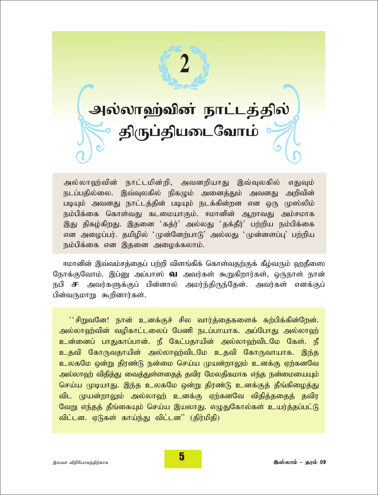

அல்லாஹ்வின் நாட்டமின்றி, அவனறியாது இவ்வுலகில் எதுவும் நடப்பதில்லை. இவ்வுலகில் நிகழும் அனைத்தும் அவனது அறிவின் படியும் அவனது நாட்டத்தின் படியும் நடக்கின்றன என ஒரு முஸ்லிம் நம்பிக்கை கொள்வது கடமையாகும். ஈமானின் ஆறாவது அம்சமாக இது திகழ்கிறது. இதனை 'கத்ர்' அல்லது 'தக்தீர்' பற்றிய நம்பிக்கை என அழைப்பர். தமிழில் 'முன்னேற்பாடு' அல்லது 'முன்னளப்பு' பற்றிய நம்பிக்கை என இதனை அழைக்கலாம்.

ஈமானின் இவ்வம்சத்தைப் பற்றி விளங்கிக் கொள்வதற்குக் கீழ்வரும் ஹதீஸை நோக்குவோம். இப்னு அப்பாஸ் **வ** அவர்கள் கூறுகிறார்கள், ஒருநாள் நான் நபி சு அவர்களுக்குப் பின்னால் அமர்ந்திருந்தேன். அவர்கள் எனக்குப் பின்வருமாறு கூறினார்கள்.

''சிறுவனே! நான் உனக்குச் சில வார்த்தைகளைக் கற்பிக்கின்றேன். அல்லாஹ்வின் வழிகாட்டலைப் பேணி நடப்பாயாக. அப்போது அல்லாஹ் உன்னைப் பாதுகாப்பான். நீ கேட்பதாயின் அல்லாஹ்விடமே கேள். நீ உதவி கோருவதாயின் அல்லாஹ்விடமே உதவி கோருவாயாக. இந்த உலகமே ஒன்று திரண்டு நன்மை செய்ய முயன்றாலும் உனக்கு ஏற்கனவே அல்லாஹ் விதித்து வைத்துள்ளதைத் தவிர மேலதிகமாக எந்த நன்மையையும் செய்ய முடியாது. இந்த உலகமே ஒன்று திரண்டு உனக்குத் தீங்கிழைத்து விட முயன்றாலும் அல்லாஹ் உனக்கு ஏற்கனவே விதித்ததைத் தவிர வேறு எந்தத் தீங்கையும் செய்ய இயலாது. எழுதுகோல்கள் உயர்த்தப்பட்டு விட்டன. ஏடுகள் காய்ந்து விட்டன" (திர்மிதி)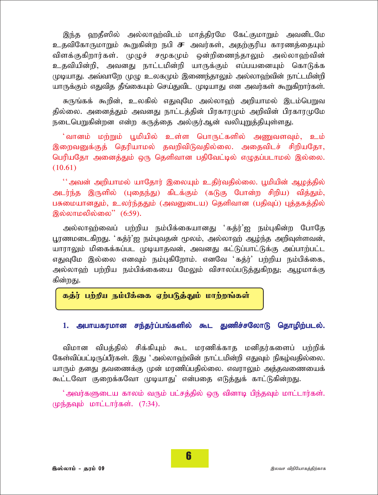இந்த ஹதீஸில் அல்லாஹ்விடம் மாத்திரமே கேட்குமாறும் அவனிடமே உதவிகோருமாறும் கூறுகின்ற நபி **சு** அவர்கள், அகற்குரிய காரணக்கையும் விளக்குகிறார்கள். முழுச் சமூகமும் ஒன்றிணைந்தாலும் அல்லாஹ்வின் உதவியின்றி, அவனது நாட்டமின்றி யாருக்கும் எப்பயனையும் கொடுக்க முடியாது. அவ்வாறே முழு உலகமும் இணைந்தாலும் அல்லாஹ்வின் நாட்டமின்றி யாருக்கும் எதுவித தீங்கையும் செய்துவிட முடியாது என அவர்கள் கூறுகிறார்கள்.

சுருங்கக் கூறின், உலகில் எதுவுமே அல்லாஹ் அறியாமல் இடம்பெறுவ தில்லை. அனைத்தும் அவனது நாட்டத்தின் பிரகாரமும் அறிவின் பிரகாரமுமே நடைபெறுகின்றன என்ற கருத்தை அல்குர்ஆன் வலியுறுத்தியுள்ளது.

்வானம் மற்றும் பூமியில் உள்ள பொருட்களில் அணுவளவும், உம் இறைவனுக்குத் தெரியாமல் தவறிவிடுவதில்லை. அதைவிடச் சிறியதோ, பெரியதோ அனைத்தும் ஒரு தெளிவான பதிவேட்டில் எழுதப்படாமல் இல்லை.  $(10.61)$ 

'' அவன் அறியாமல் யாதோர் இலையும் உதிர்வதில்லை. பூமியின் ஆழத்தில் அடர்ந்த இருளில் (புதைந்து) கிடக்கும் (கடுகு போன்ற சிறிய) வித்தும், பசுமையானதும், உலர்ந்ததும் (அவனுடைய) தெளிவான (பதிவுப்) புத்தகத்தில் இல்லாமலில்லை" (6:59).

அல்லாஹ்வைப் பற்றிய நம்பிக்கையானது 'கத்ர்'ஐ நம்புகின்ற போதே பூரணமடைகிறது. 'கத்ர்'ஐ நம்புவதன் மூலம், அல்லாஹ் ஆழ்ந்த அறிவுள்ளவன், யாராலும் மிகைக்கப்பட முடியாதவன், அவனது கட்டுப்பாட்டுக்கு அப்பாற்பட்ட எதுவுமே இல்லை எனவும் நம்புகிறோம். எனவே 'கத்ர்' பற்றிய நம்பிக்கை, அல்லாஹ் பற்றிய நம்பிக்கையை மேலும் விசாலப்படுத்துகிறது. ஆழமாக்கு கின்றது.

### கத்ர் பற்றிய நம்பிக்கை ஏற்படுத்தும் மாற்றங்கள்

#### 1. அபாயகரமான சந்தர்ப்பங்களில் கூட துணிச்சலோடு தொழிற்படல்.

விமான விபத்தில் சிக்கியும் கூட மரணிக்காத மனிதர்களைப் பற்றிக் கேள்விப்பட்டிருப்பீர்கள். இது 'அல்லாவற்வின் நாட்டமின்றி எதுவும் நிகம்வதில்லை. யாரும் தனது தவணைக்கு முன் மரணிப்பதில்லை. எவராலும் அத்தவணையைக் கூட்டவோ குறைக்கவோ முடியாது' என்பதை எடுத்துக் காட்டுகின்றது.

்அவர்களுடைய காலம் வரும் பட்சத்தில் ஒரு வினாடி பிந்தவும் மாட்டார்கள். (மந்தவும் மாட்டார்கள்.  $(7:34)$ .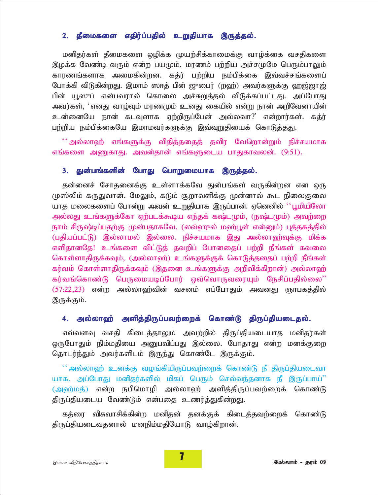## 2. தீமைகளை எதிர்ப்பதில் உறுதியாக இருத்தல்.

மனிதர்கள் தீமைகளை ஒழிக்க முயற்சிக்காமைக்கு வாழ்க்கை வசதிகளை இழக்க வேண்டி வரும் என்ற பயமும், மரணம் பற்றிய அச்சமுமே பெரும்பாலும் காரணங்களாக அமைகின்றன. கத்ர் பற்றிய நம்பிக்கை இவ்வச்சங்களைப் போக்கி விடுகின்றது. இமாம் ஸாத் பின் ஜுபைர் (றஹ்) அவர்களுக்கு ஹஜ்ஜாஜ் பின் யூஸுப் என்பவரால் கொலை அச்சுறுத்தல் விடுக்கப்பட்டது. அப்போது அவர்கள், '*எ*னது வாழ்வும் மரணமும் உனது கையில் என்று நான் அறிவேனாயின் *cd;idNa ehd; flTshf Vw;wpUg;Ngd; my;yth?| vd;whu;fs;. fj;u;* பற்றிய நம்பிக்கையே இமாமவர்களுக்கு இவ்வுறுதியைக் கொடுத்தது.

 $^{\prime\prime}$ அல்லாஹ் எங்களுக்கு விதித்ததைத் தவிர வேறொன்றும் நிச்சயமாக எங்களை அணுகாது. அவன்தான் எங்களுடைய பாதுகாவலன். (9:51).

### 3. து<mark>ன்பங்களின் போது பொறுமையாக இருத்தல்.</mark>

தன்னைச் சோதனைக்கு உள்ளாக்கவே துன்பங்கள் வருகின்றன என ஒரு முஸ்லிம் கருதுவான். மேலும், கடும் சூறாவளிக்கு முன்னால் கூட நிலைகுலை யாத மலைகளைப் போன்று அவன் உறுதியாக இருப்பான். ஏனெனில் ''பூமியிலோ அல்லது உங்களுக்கோ ஏற்படக்கூடிய எந்தக் கஷ்டமும், (நஷ்டமும்) அவற்றை நாம் சிருஷ்டிப்பதற்கு முன்பதாகவே, (லவ்ஹுல் மஹ்பூள் என்னும்) புத்தகத்தில் (பதியப்பட்டு) இல்லாமல் இல்லை. நிச்சயமாக இது அல்லாஹ்வுக்கு மிக்க எளிதானதே! உங்களை விட்டுத் தவறிப் போனதைப் பற்றி நீங்கள் கவலை கொள்ளாதிருக்கவும், (அல்லா**ஹ்) உங்களுக்குக் கொடுத்ததைப் பற்றி நீங்**கள் *fu;tk; nfhs;shjpUf;fTk; (,jid cq;fSf;F mwptpf;fpwhd;) my;yh`;* கர்வங்கொண்டு பெருமையடிப்போர் ஒவ்வொருவரையும் நேசிப்பதில்லை'' *(57:22,23) எ*ன்ற அல்லாஹ்வின் வசனம் எப்போதும் அவனது ஞாபகத்தில் இருக்கும்.

### 4. அல்லாஹ் அளித்திருப்பவற்றைக் கொண்டு திருப்தியடைதல்.

எவ்வளவு வசதி கிடைத்தாலும் அவற்றில் திருப்தியடையாத மனிதர்கள் ஒருபோதும் நிம்மதியை அனுபவிப்பது இல்லை. போதாது என்ற மனக்குறை தொடர்ந்தும் அவர்களிடம் இருந்து கொண்டே இருக்கும்.

 $^{\prime\prime}$ அல்லாஹ் உனக்கு வழங்கியிருப்பவற்றைக் கொண்டு நீ திருப்தியடைவா யாக, அப்போது மனிதர்களில் மிகப் பெரும் செல்வந்தனாக நீ இருப்பாய்<sup>?</sup>' (அஹ்மத்) என்ற நபிமொழி அல்லாஹ் அளித்திருப்பவற்றைக் கொண்டு திருப்தியடைய வேண்டும் என்பதை உணர்த்துகின்றது.

கத்ரை விசுவாசிக்கின்ற மனிதன் தனக்குக் கிடைத்தவற்றைக் கொண்டு திருப்தியடைவதனால் மனநிம்மதியோடு வாழ்கிறான்.